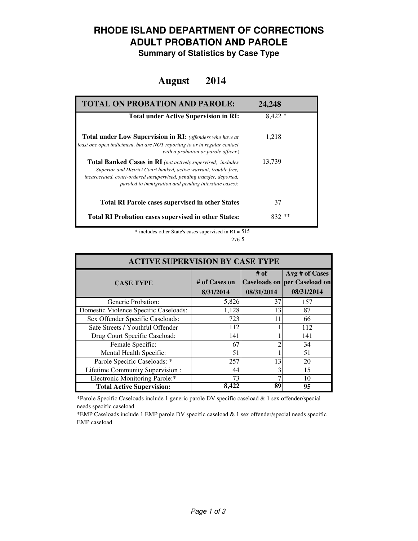### **RHODE ISLAND DEPARTMENT OF CORRECTIONS ADULT PROBATION AND PAROLE**

**Summary of Statistics by Case Type**

#### **August 2014**

| <b>TOTAL ON PROBATION AND PAROLE:</b>                                                                                                                                                                                                                              | 24.248   |
|--------------------------------------------------------------------------------------------------------------------------------------------------------------------------------------------------------------------------------------------------------------------|----------|
| <b>Total under Active Supervision in RI:</b>                                                                                                                                                                                                                       | $8.422*$ |
| <b>Total under Low Supervision in RI:</b> (offenders who have at<br>least one open indictment, but are NOT reporting to or in regular contact<br>with a probation or parole officer)                                                                               | 1,218    |
| Total Banked Cases in RI (not actively supervised; includes<br>Superior and District Court banked, active warrant, trouble free,<br>incarcerated, court-ordered unsupervised, pending transfer, deported,<br>paroled to immigration and pending interstate cases): | 13,739   |
| <b>Total RI Parole cases supervised in other States</b>                                                                                                                                                                                                            | 37       |
| <b>Total RI Probation cases supervised in other States:</b>                                                                                                                                                                                                        | **       |

\* includes other State's cases supervised in RI = 515 5 276

| <b>ACTIVE SUPERVISION BY CASE TYPE</b> |                            |                    |                                                                     |  |  |
|----------------------------------------|----------------------------|--------------------|---------------------------------------------------------------------|--|--|
| <b>CASE TYPE</b>                       | # of Cases on<br>8/31/2014 | # of<br>08/31/2014 | Avg # of Cases<br><b>Caseloads on per Caseload on</b><br>08/31/2014 |  |  |
| Generic Probation:                     | 5,826                      | 37                 | 157                                                                 |  |  |
| Domestic Violence Specific Caseloads:  | 1,128                      | 13                 | 87                                                                  |  |  |
| Sex Offender Specific Caseloads:       | 723                        | 11                 | 66                                                                  |  |  |
| Safe Streets / Youthful Offender       | 112                        |                    | 112                                                                 |  |  |
| Drug Court Specific Caseload:          | 141                        |                    | 141                                                                 |  |  |
| Female Specific:                       | 67                         | ∍                  | 34                                                                  |  |  |
| Mental Health Specific:                | 51                         |                    | 51                                                                  |  |  |
| Parole Specific Caseloads: *           | 257                        | 13                 | 20                                                                  |  |  |
| Lifetime Community Supervision:        | 44                         | 3                  | 15                                                                  |  |  |
| Electronic Monitoring Parole:*         | 73                         |                    | 10                                                                  |  |  |
| <b>Total Active Supervision:</b>       | 8.422                      | 89                 | 95                                                                  |  |  |

\*Parole Specific Caseloads include 1 generic parole DV specific caseload & 1 sex offender/special needs specific caseload

\*EMP Caseloads include 1 EMP parole DV specific caseload & 1 sex offender/special needs specific EMP caseload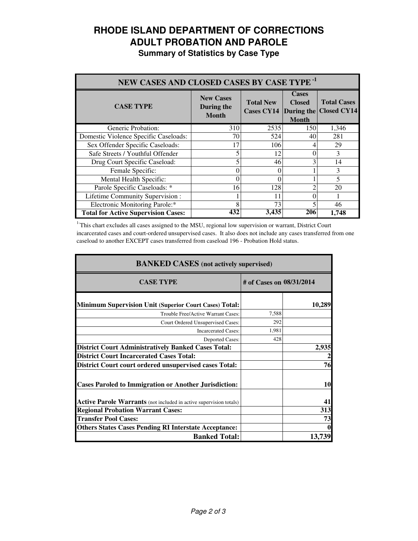# **RHODE ISLAND DEPARTMENT OF CORRECTIONS ADULT PROBATION AND PAROLE**

**Summary of Statistics by Case Type**

| NEW CASES AND CLOSED CASES BY CASE TYPE <sup>-1</sup> |                                                |                                                  |                                               |                                          |
|-------------------------------------------------------|------------------------------------------------|--------------------------------------------------|-----------------------------------------------|------------------------------------------|
| <b>CASE TYPE</b>                                      | <b>New Cases</b><br>During the<br><b>Month</b> | <b>Total New</b><br><b>Cases CY14</b> During the | <b>Cases</b><br><b>Closed</b><br><b>Month</b> | <b>Total Cases</b><br><b>Closed CY14</b> |
| Generic Probation:                                    | 310                                            | 2535                                             | 150                                           | 1,346                                    |
| Domestic Violence Specific Caseloads:                 | 70                                             | 524                                              | 40                                            | 281                                      |
| Sex Offender Specific Caseloads:                      | 17                                             | 106                                              |                                               | 29                                       |
| Safe Streets / Youthful Offender                      |                                                | 12                                               |                                               | 3                                        |
| Drug Court Specific Caseload:                         |                                                | 46                                               |                                               | 14                                       |
| Female Specific:                                      | 0                                              | 0                                                |                                               | 3                                        |
| Mental Health Specific:                               | 0                                              | 0                                                |                                               | 5                                        |
| Parole Specific Caseloads: *                          | 16                                             | 128                                              |                                               | 20                                       |
| Lifetime Community Supervision:                       |                                                |                                                  |                                               |                                          |
| Electronic Monitoring Parole:*                        | 8                                              | 73                                               |                                               | 46                                       |
| <b>Total for Active Supervision Cases:</b>            | 432                                            | 3,435                                            | 206                                           | 1,748                                    |

<sup>1</sup>This chart excludes all cases assigned to the MSU, regional low supervision or warrant, District Court incarcerated cases and court-ordered unsupervised cases. It also does not include any cases transferred from one caseload to another EXCEPT cases transferred from caseload 196 - Probation Hold status.

| <b>BANKED CASES</b> (not actively supervised)                      |                          |           |  |
|--------------------------------------------------------------------|--------------------------|-----------|--|
| <b>CASE TYPE</b>                                                   | # of Cases on 08/31/2014 |           |  |
| <b>Minimum Supervision Unit (Superior Court Cases) Total:</b>      |                          | 10,289    |  |
| Trouble Free/Active Warrant Cases:                                 | 7,588                    |           |  |
| Court Ordered Unsupervised Cases:                                  | 292                      |           |  |
| <b>Incarcerated Cases:</b>                                         | 1,981                    |           |  |
| <b>Deported Cases:</b>                                             | 428                      |           |  |
| <b>District Court Administratively Banked Cases Total:</b>         |                          | 2,935     |  |
| <b>District Court Incarcerated Cases Total:</b>                    |                          |           |  |
| District Court court ordered unsupervised cases Total:             |                          | 76        |  |
| <b>Cases Paroled to Immigration or Another Jurisdiction:</b>       |                          | <b>10</b> |  |
| Active Parole Warrants (not included in active supervision totals) |                          | 41        |  |
| <b>Regional Probation Warrant Cases:</b>                           |                          | 313       |  |
| <b>Transfer Pool Cases:</b>                                        |                          | 73        |  |
| <b>Others States Cases Pending RI Interstate Acceptance:</b>       |                          |           |  |
| <b>Banked Total:</b>                                               |                          | 13,739    |  |